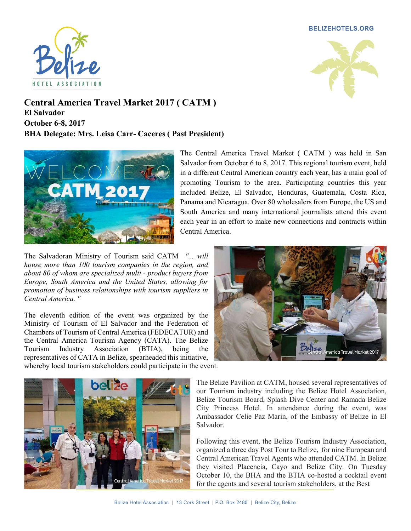**BELIZEHOTELS.ORG** 





Central America Travel Market 2017 ( CATM ) El Salvador October 6-8, 2017 BHA Delegate: Mrs. Leisa Carr- Caceres ( Past President)



The Salvadoran Ministry of Tourism said CATM "... will house more than 100 tourism companies in the region, and about 80 of whom are specialized multi - product buyers from Europe, South America and the United States, allowing for promotion of business relationships with tourism suppliers in Central America. "

The eleventh edition of the event was organized by the Ministry of Tourism of El Salvador and the Federation of Chambers of Tourism of Central America (FEDECATUR) and the Central America Tourism Agency (CATA). The Belize Tourism Industry Association (BTIA), being the representatives of CATA in Belize, spearheaded this initiative, whereby local tourism stakeholders could participate in the event.





The Belize Pavilion at CATM, housed several representatives of our Tourism industry including the Belize Hotel Association, Belize Tourism Board, Splash Dive Center and Ramada Belize City Princess Hotel. In attendance during the event, was Ambassador Celie Paz Marin, of the Embassy of Belize in El Salvador.

Following this event, the Belize Tourism Industry Association, organized a three day Post Tour to Belize, for nine European and Central American Travel Agents who attended CATM. In Belize they visited Placencia, Cayo and Belize City. On Tuesday October 10, the BHA and the BTIA co-hosted a cocktail event for the agents and several tourism stakeholders, at the Best